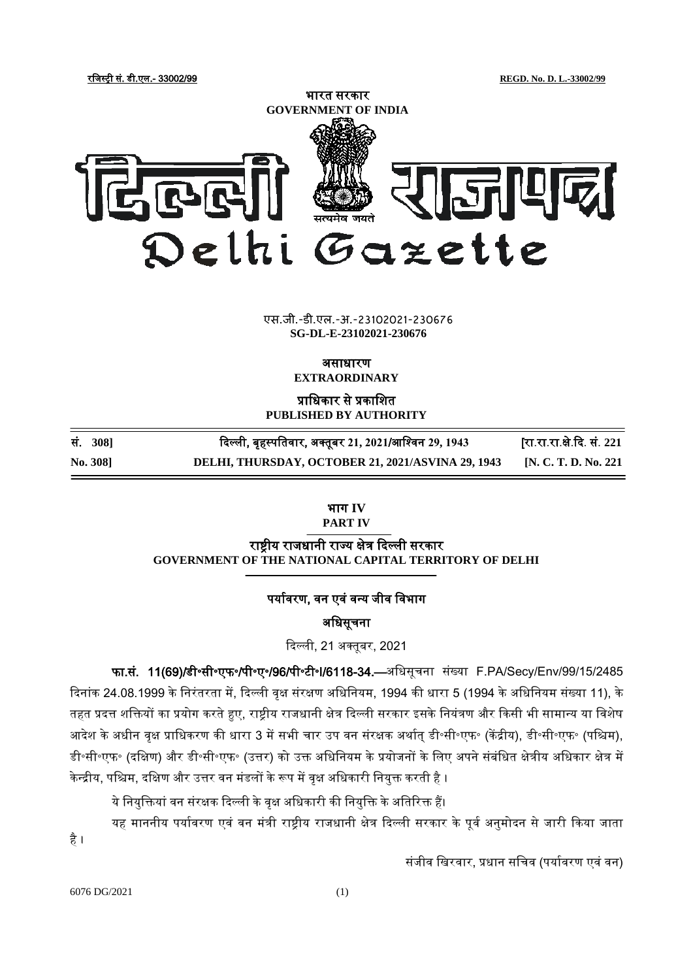रजिस्ट्री सं. डी.एल.- 33002/99 **REGD. No. D. L.-33002/99**



#### एस.जी.-डी.एल.-अ.-23102021-230676 **SG-DL-E-23102021-230676**

असाधारण

**EXTRAORDINARY**

प्राजधकार से प्रकाजित **PUBLISHED BY AUTHORITY**

| No. 308] | DELHI, THURSDAY, OCTOBER 21, 2021/ASVINA 29, 1943     | [N. C. T. D. No. 221]      |
|----------|-------------------------------------------------------|----------------------------|
| सं. 308] | दिल्ली, बृहस्पतिवार, अक्तूबर 21, 2021/आश्विन 29, 1943 | [रा.रा.रा.क्षे.दि. सं. 221 |

भाग **IV**

**PART IV**

राष्ट्रीय राजधानी राज्य क्षेत्र दिल्ली सरकार **GOVERNMENT OF THE NATIONAL CAPITAL TERRITORY OF DELHI**

## पर्यावरण, वन एवं वन्य जीव विभाग

# अजधसूचना

दिल्ली, 21 अक्तुबर, 2021

फा.सं. 11(69)/डी॰सी॰एफ॰/पी॰ए॰/96/पी॰टी॰I/6118-34.—अजधसूचना संख्या F.PA/Secy/Env/99/15/2485 दिनांक 24.08.1999 के निरंतरता में, दिल्ली वृक्ष संरक्षण अधिनियम, 1994 की धारा 5 (1994 के अधिनियम संख्या 11), के तहत प्रदत्त शक्तियों का प्रयोग करते हुए, राष्ट्रीय राजधानी क्षेत्र दिल्ली सरकार इसके नियंत्रण और किसी भी सामान्य या विशेष आदेश के अधीन वृक्ष प्राधिकरण की धारा 3 में सभी चार उप वन संरक्षक अर्थात डी॰सी॰एफ॰ (केंद्रीय), डी॰सी॰एफ॰ (पश्चिम), डी॰सी॰एफ॰ (दक्षिण) और डी॰सी॰एफ॰ (उत्तर) को उक्त अधिनियम के प्रयोजनों के लिए अपने संबंधित क्षेत्रीय अधिकार क्षेत्र में केन्द्रीय, पश्चिम, दक्षिण और उत्तर वन मंडलों के रूप में वृक्ष अधिकारी नियुक्त करती है ।

ये नियुक्तियां वन संरक्षक दिल्ली के वृक्ष अधिकारी की नियुक्ति के अतिरिक्त हैं।

यह माननीय पर्यावरण एवं वन मंत्री राष्ट्रीय राजधानी क्षेत्र दिल्ली सरकार के पूर्व अनुमोदन से जारी किया जाता है ।

संजीव खिरवार, प्रधान सचिव (पर्यावरण एवं वन)

6076 DG/2021 (1)